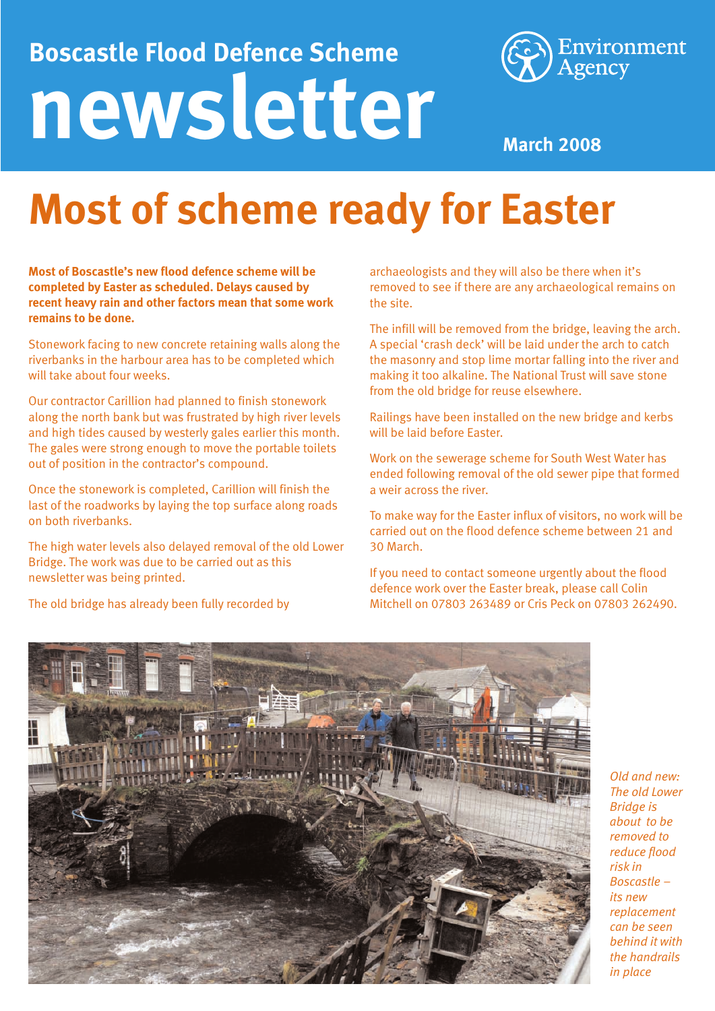## **newsletter Boscastle Flood Defence Scheme**



**March 2008**

## **Most of scheme ready for Easter**

**Most of Boscastle's new flood defence scheme will be completed by Easter as scheduled. Delays caused by recent heavy rain and other factors mean that some work remains to be done.**

Stonework facing to new concrete retaining walls along the riverbanks in the harbour area has to be completed which will take about four weeks.

Our contractor Carillion had planned to finish stonework along the north bank but was frustrated by high river levels and high tides caused by westerly gales earlier this month. The gales were strong enough to move the portable toilets out of position in the contractor's compound.

Once the stonework is completed, Carillion will finish the last of the roadworks by laying the top surface along roads on both riverbanks.

The high water levels also delayed removal of the old Lower Bridge. The work was due to be carried out as this newsletter was being printed.

The old bridge has already been fully recorded by

archaeologists and they will also be there when it's removed to see if there are any archaeological remains on the site.

The infill will be removed from the bridge, leaving the arch. A special 'crash deck' will be laid under the arch to catch the masonry and stop lime mortar falling into the river and making it too alkaline. The National Trust will save stone from the old bridge for reuse elsewhere.

Railings have been installed on the new bridge and kerbs will be laid before Easter.

Work on the sewerage scheme for South West Water has ended following removal of the old sewer pipe that formed a weir across the river.

To make way for the Easter influx of visitors, no work will be carried out on the flood defence scheme between 21 and 30 March.

If you need to contact someone urgently about the flood defence work over the Easter break, please call Colin Mitchell on 07803 263489 or Cris Peck on 07803 262490.



*Old and new: The old Lower Bridge is about to be removed to reduce flood risk in Boscastle – its new replacement can be seen behind it with the handrails in place*